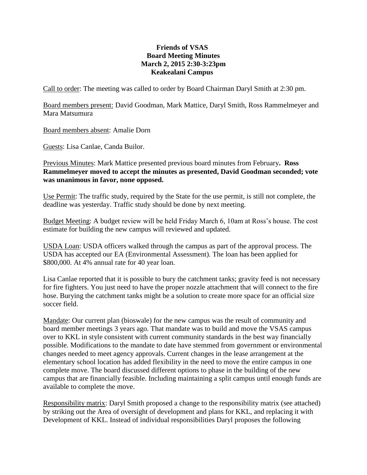## **Friends of VSAS Board Meeting Minutes March 2, 2015 2:30-3:23pm Keakealani Campus**

Call to order: The meeting was called to order by Board Chairman Daryl Smith at 2:30 pm.

Board members present: David Goodman, Mark Mattice, Daryl Smith, Ross Rammelmeyer and Mara Matsumura

Board members absent: Amalie Dorn

Guests: Lisa Canlae, Canda Builor.

Previous Minutes: Mark Mattice presented previous board minutes from February**. Ross Rammelmeyer moved to accept the minutes as presented, David Goodman seconded; vote was unanimous in favor, none opposed.**

Use Permit: The traffic study, required by the State for the use permit, is still not complete, the deadline was yesterday. Traffic study should be done by next meeting.

Budget Meeting: A budget review will be held Friday March 6, 10am at Ross's house. The cost estimate for building the new campus will reviewed and updated.

USDA Loan: USDA officers walked through the campus as part of the approval process. The USDA has accepted our EA (Environmental Assessment). The loan has been applied for \$800,000. At 4% annual rate for 40 year loan.

Lisa Canlae reported that it is possible to bury the catchment tanks; gravity feed is not necessary for fire fighters. You just need to have the proper nozzle attachment that will connect to the fire hose. Burying the catchment tanks might be a solution to create more space for an official size soccer field.

Mandate: Our current plan (bioswale) for the new campus was the result of community and board member meetings 3 years ago. That mandate was to build and move the VSAS campus over to KKL in style consistent with current community standards in the best way financially possible. Modifications to the mandate to date have stemmed from government or environmental changes needed to meet agency approvals. Current changes in the lease arrangement at the elementary school location has added flexibility in the need to move the entire campus in one complete move. The board discussed different options to phase in the building of the new campus that are financially feasible. Including maintaining a split campus until enough funds are available to complete the move.

Responsibility matrix: Daryl Smith proposed a change to the responsibility matrix (see attached) by striking out the Area of oversight of development and plans for KKL, and replacing it with Development of KKL. Instead of individual responsibilities Daryl proposes the following